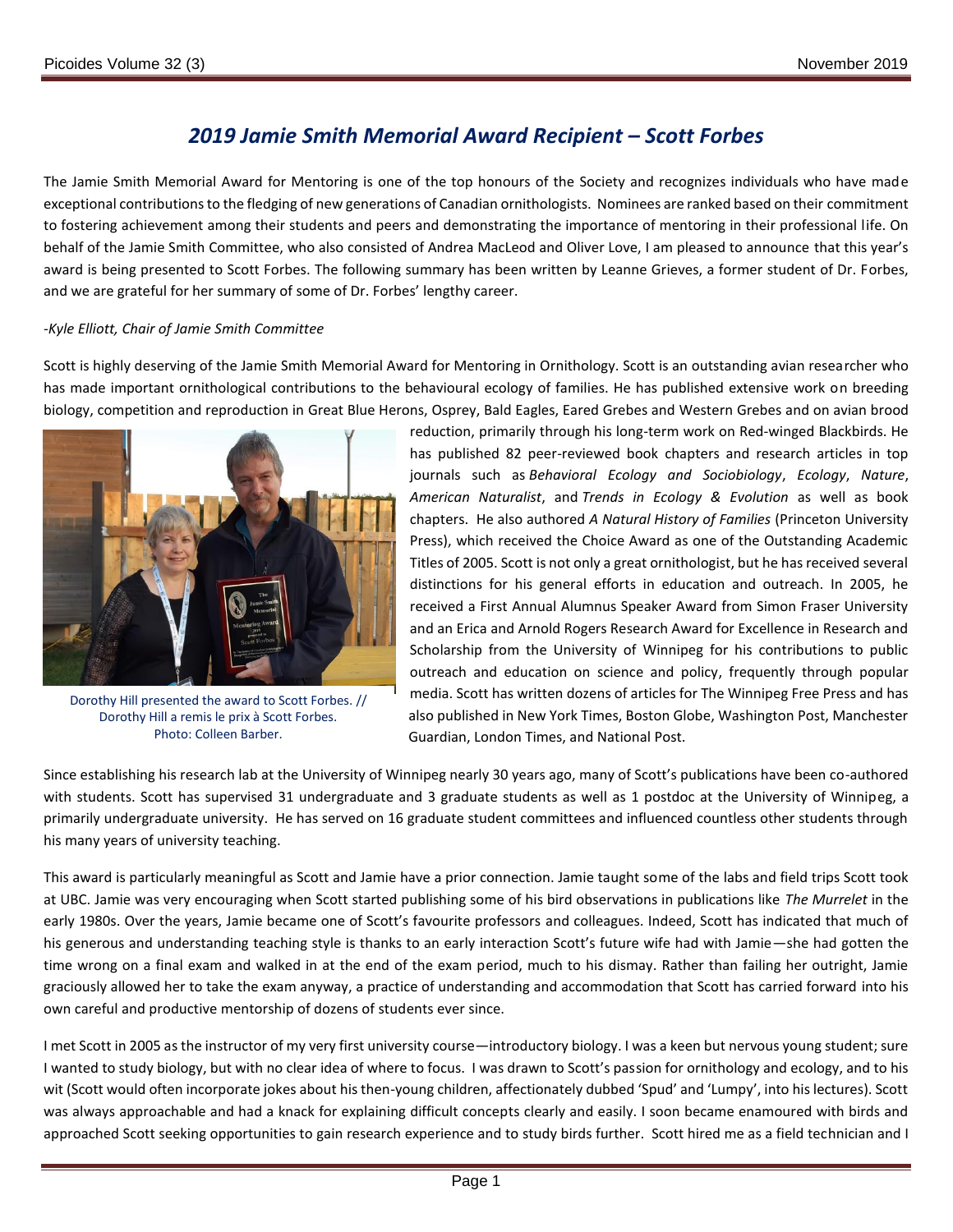## *2019 Jamie Smith Memorial Award Recipient – Scott Forbes*

The Jamie Smith Memorial Award for Mentoring is one of the top honours of the Society and recognizes individuals who have made exceptional contributions to the fledging of new generations of Canadian ornithologists. Nominees are ranked based on their commitment to fostering achievement among their students and peers and demonstrating the importance of mentoring in their professional life. On behalf of the Jamie Smith Committee, who also consisted of Andrea MacLeod and Oliver Love, I am pleased to announce that this year's award is being presented to Scott Forbes. The following summary has been written by Leanne Grieves, a former student of Dr. Forbes, and we are grateful for her summary of some of Dr. Forbes' lengthy career.

## *-Kyle Elliott, Chair of Jamie Smith Committee*

Scott is highly deserving of the Jamie Smith Memorial Award for Mentoring in Ornithology. Scott is an outstanding avian researcher who has made important ornithological contributions to the behavioural ecology of families. He has published extensive work on breeding biology, competition and reproduction in Great Blue Herons, Osprey, Bald Eagles, Eared Grebes and Western Grebes and on avian brood



Dorothy Hill presented the award to Scott Forbes. // Dorothy Hill a remis le prix à Scott Forbes. Photo: Colleen Barber.

reduction, primarily through his long-term work on Red-winged Blackbirds. He has published 82 peer-reviewed book chapters and research articles in top journals such as *Behavioral Ecology and Sociobiology*, *Ecology*, *Nature*, *American Naturalist*, and *Trends in Ecology & Evolution* as well as book chapters. He also authored *A Natural History of Families* (Princeton University Press), which received the Choice Award as one of the Outstanding Academic Titles of 2005. Scott is not only a great ornithologist, but he has received several distinctions for his general efforts in education and outreach. In 2005, he received a First Annual Alumnus Speaker Award from Simon Fraser University and an Erica and Arnold Rogers Research Award for Excellence in Research and Scholarship from the University of Winnipeg for his contributions to public outreach and education on science and policy, frequently through popular media. Scott has written dozens of articles for The Winnipeg Free Press and has also published in New York Times, Boston Globe, Washington Post, Manchester Guardian, London Times, and National Post.

Since establishing his research lab at the University of Winnipeg nearly 30 years ago, many of Scott's publications have been co-authored with students. Scott has supervised 31 undergraduate and 3 graduate students as well as 1 postdoc at the University of Winnipeg, a primarily undergraduate university. He has served on 16 graduate student committees and influenced countless other students through his many years of university teaching.

This award is particularly meaningful as Scott and Jamie have a prior connection. Jamie taught some of the labs and field trips Scott took at UBC. Jamie was very encouraging when Scott started publishing some of his bird observations in publications like *The Murrelet* in the early 1980s. Over the years, Jamie became one of Scott's favourite professors and colleagues. Indeed, Scott has indicated that much of his generous and understanding teaching style is thanks to an early interaction Scott's future wife had with Jamie—she had gotten the time wrong on a final exam and walked in at the end of the exam period, much to his dismay. Rather than failing her outright, Jamie graciously allowed her to take the exam anyway, a practice of understanding and accommodation that Scott has carried forward into his own careful and productive mentorship of dozens of students ever since.

I met Scott in 2005 as the instructor of my very first university course—introductory biology. I was a keen but nervous young student; sure I wanted to study biology, but with no clear idea of where to focus. I was drawn to Scott's passion for ornithology and ecology, and to his wit (Scott would often incorporate jokes about his then-young children, affectionately dubbed 'Spud' and 'Lumpy', into his lectures). Scott was always approachable and had a knack for explaining difficult concepts clearly and easily. I soon became enamoured with birds and approached Scott seeking opportunities to gain research experience and to study birds further. Scott hired me as a field technician and I